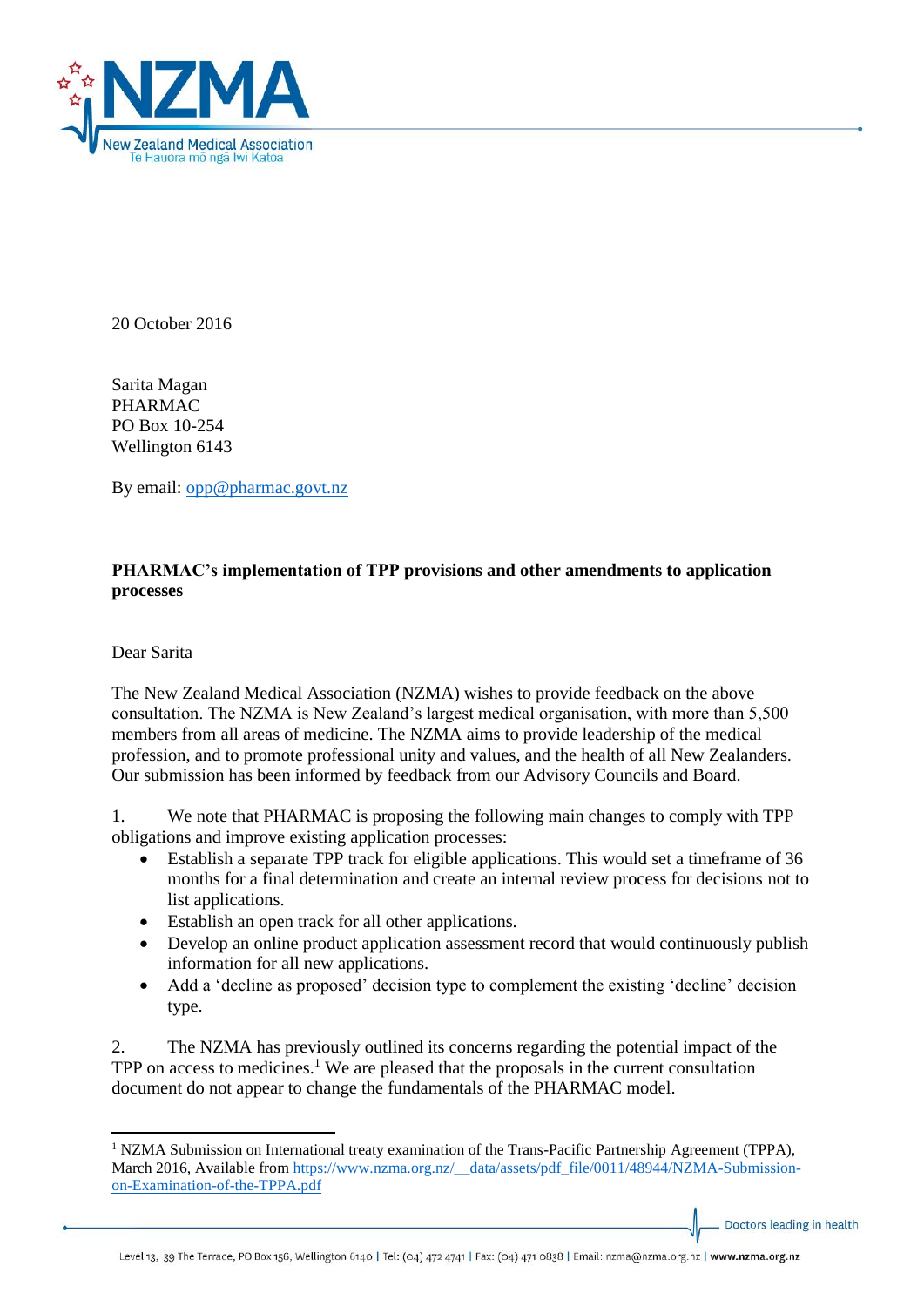

20 October 2016

Sarita Magan PHARMAC PO Box 10-254 Wellington 6143

By email: [opp@pharmac.govt.nz](mailto:opp@pharmac.govt.nz)

## **PHARMAC's implementation of TPP provisions and other amendments to application processes**

Dear Sarita

 $\overline{\phantom{a}}$ 

The New Zealand Medical Association (NZMA) wishes to provide feedback on the above consultation. The NZMA is New Zealand's largest medical organisation, with more than 5,500 members from all areas of medicine. The NZMA aims to provide leadership of the medical profession, and to promote professional unity and values, and the health of all New Zealanders. Our submission has been informed by feedback from our Advisory Councils and Board.

1. We note that PHARMAC is proposing the following main changes to comply with TPP obligations and improve existing application processes:

- Establish a separate TPP track for eligible applications. This would set a timeframe of 36 months for a final determination and create an internal review process for decisions not to list applications.
- Establish an open track for all other applications.
- Develop an online product application assessment record that would continuously publish information for all new applications.
- Add a 'decline as proposed' decision type to complement the existing 'decline' decision type.

2. The NZMA has previously outlined its concerns regarding the potential impact of the TPP on access to medicines.<sup>1</sup> We are pleased that the proposals in the current consultation document do not appear to change the fundamentals of the PHARMAC model.

Doctors leading in health

<sup>&</sup>lt;sup>1</sup> NZMA Submission on International treaty examination of the Trans-Pacific Partnership Agreement (TPPA), March 2016, Available from https://www.nzma.org.nz/ data/assets/pdf\_file/0011/48944/NZMA-Submission[on-Examination-of-the-TPPA.pdf](https://www.nzma.org.nz/__data/assets/pdf_file/0011/48944/NZMA-Submission-on-Examination-of-the-TPPA.pdf)